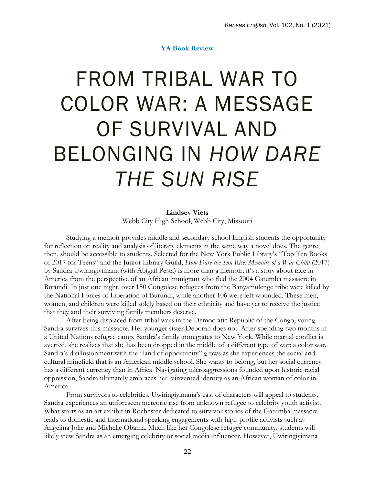## **YA Book Review**

## FROM TRIBAL WAR TO COLOR WAR: A MESSAGE OF SURVIVAL AND BELONGING IN *HOW DARE THE SUN RISE*

**Lindsey Viets** Webb City High School, Webb City, Missouri

Studying a memoir provides middle and secondary school English students the opportunity for reflection on reality and analysis of literary elements in the same way a novel does. The genre, then, should be accessible to students. Selected for the New York Public Library's "Top Ten Books of 2017 for Teens" and the Junior Library Guild, *How Dare the Sun Rise: Memoirs of a War Child* (2017) by Sandra Uwiringiyimana (with Abigail Pesta) is more than a memoir; it's a story about race in America from the perspective of an African immigrant who fled the 2004 Gatumba massacre in Burundi. In just one night, over 150 Congolese refugees from the Banyamulenge tribe were killed by the National Forces of Liberation of Burundi, while another 106 were left wounded. These men, women, and children were killed solely based on their ethnicity and have yet to receive the justice that they and their surviving family members deserve.

After being displaced from tribal wars in the Democratic Republic of the Congo, young Sandra survives this massacre. Her younger sister Deborah does not. After spending two months in a United Nations refugee camp, Sandra's family immigrates to New York. While martial conflict is averted, she realizes that she has been dropped in the middle of a different type of war: a color war. Sandra's disillusionment with the "land of opportunity" grows as she experiences the social and cultural minefield that is an American middle school. She wants to belong, but her social currency has a different currency than in Africa. Navigating microaggressions founded upon historic racial oppression, Sandra ultimately embraces her reinvented identity as an African woman of color in America.

From survivors to celebrities, Uwiringiyimana's cast of characters will appeal to students. Sandra experiences an unforeseen meteoric rise from unknown refugee to celebrity youth activist. What starts as an art exhibit in Rochester dedicated to survivor stories of the Gatumba massacre leads to domestic and international speaking engagements with high-profile activists such as Angelina Jolie and Michelle Obama. Much like her Congolese refugee community, students will likely view Sandra as an emerging celebrity or social media influencer. However, Uwiringiyimana